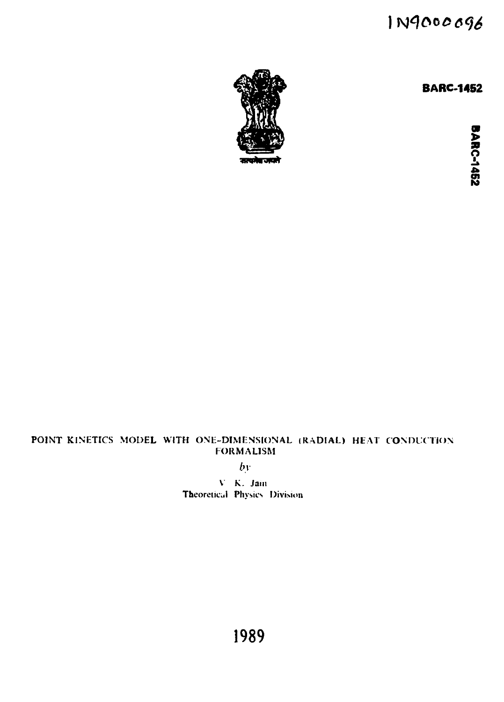# 1N9000096

**BARC-1452**



**2**<br> **2** 

# **POINT KINETICS MODEL WITH ONE-DIMENSIONAL (RADIAL) HEAT CONDUCTION FORMALISM**

*by*

**V K. Jam Theoretical Physics Division** 

**1989**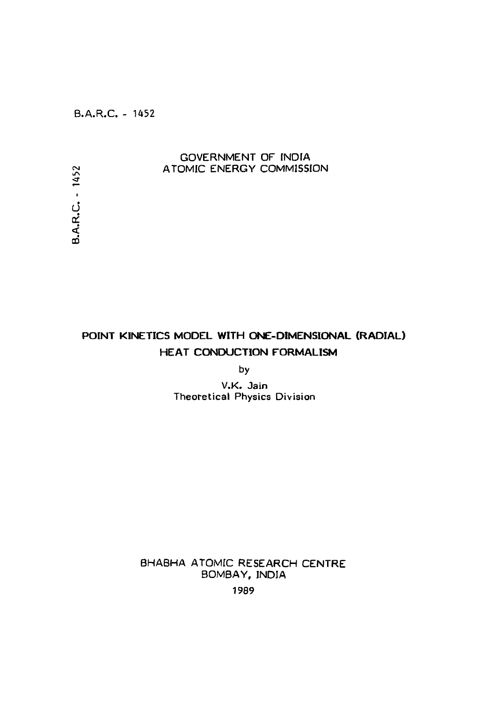B.A.R.C. - 1452

**B.A.R.C. - 1452** 

### GOVERNMENT OF INDIA ATOMIC ENERGY COMMISSION

**POINT KINETICS MODEL WITH ONE-DIMENSIONAL (RADIAL) HEAT CONDUCTION FORMALISM**

by

V.K. Jain Theoretical Physics Division

BHABHA ATOMIC RESEARCH CENTRE BOMBAY, INDIA

1989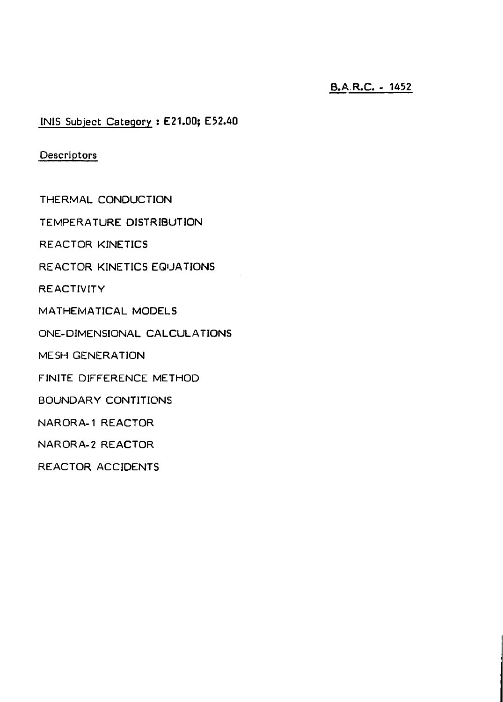# B.A.R.C. - 1452

IN1S Subject Category : E21.00; E52.40

**Descriptors** 

THERMAL CONDUCTION

TEMPERATURE DISTRIBUTION

REACTOR KINETICS

REACTOR KINETICS EQUATIONS

REACTIVITY

MATHEMATICAL MODELS

ONE-DIMENSIONAL CALCULATIONS

MESH GENERATION

FINITE DIFFERENCE METHOD

BOUNDARY CONTITIONS

NARORA-1 REACTOR

NARORA-2 REACTOR

REACTOR ACCIDENTS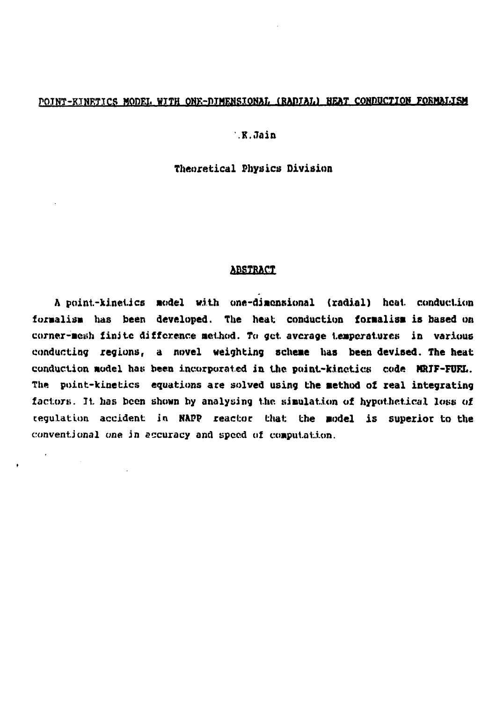### POINT-KINETICS MODEL WITH ONE-DIMENSIONAL (RADIAL) HEAT CONDUCTION FORMALISM

### **.K.Jain**

#### **Theoretical Physics Division**

#### **ABSTRACT**

**A point.-ki.nel.ics model with one-dimensional (radial) heal. conduction formalism has been developed. The heat; conduction formalism is based on corner-mesh finite difference method. To get average temperatures in various conducting regions, a novel weighting scheme has been devised. The heat conduction model hat; been incorporated in the point-kinetics code MRJF-FUFX. The point-kinetics equations ace solved using the method of real integrating factors. It has been shown by analysing the simulation of hypothetical lews of regulation accident in NAPP reactor that the model is superior to the conventional one in accuracy and speed of computation.**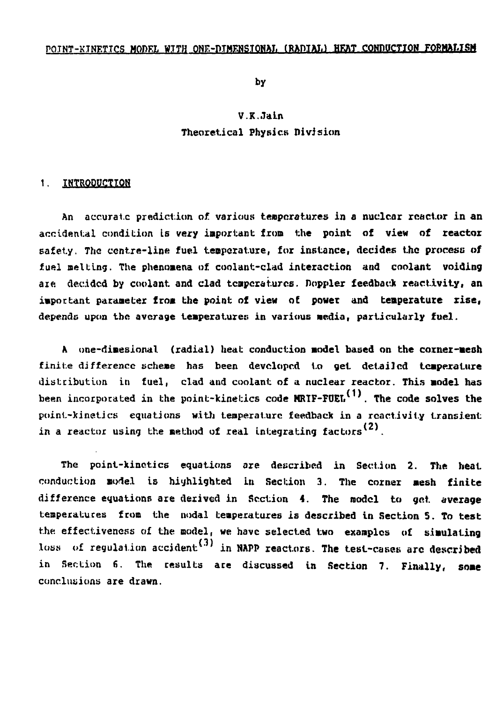#### POINT-KINETICS MODEL WITH ONE-DIMENSIONAL (RADIAL) HEAT CONDUCTION FORMALISM

**by**

# **V.K.JaLn Theoretical Physics Division**

#### **1. INTRODUCTION**

An accurate prediction of various temperatures in a nuclear reactor in an **accidental condition Is very important from the point of view of reactor safety. The centre-line fuel teaperature, for instance, decides the process of** fuel melting. The phenomena of coolant-clad interaction and coolant voiding **aie. decided by coolant and clad tcnpcrat.urcs. floppier feedback reactivity, an important parameter from the point of view of powet and temperature rise, depends upon the average temperatures in various Media, particularly fuel.**

**A one-diaesional (radial) heat conduction model based on the corner-aesh finite difference scheme has been developed to get detailed temperature distribution in fuel, clad and coolant of a nuclear reactor. This model has been incorporated in the point-kinetics code HRTF-FOEL . The code salves the point-kinetics equations with tenperaturc feedback in a reactivity transient** in a reactor using the method of real integrating factors<sup>(2)</sup>.

**The point-kinetics equations are described in Section 2. The heat conduction model is highlighted In Section 3. The corner mesh finite** difference equations are derived in Section 4. The model to get average **temperatures from the nodal temperatures is described in Section 5. To test the. effectiveness of the model, we have selected two examples of simulating loss of regulation accident<sup>1</sup> in NAPP reactors. The test-cases arc described in Section 6. The results are discussed in Section 7. Finally, some conclusions are drawn.**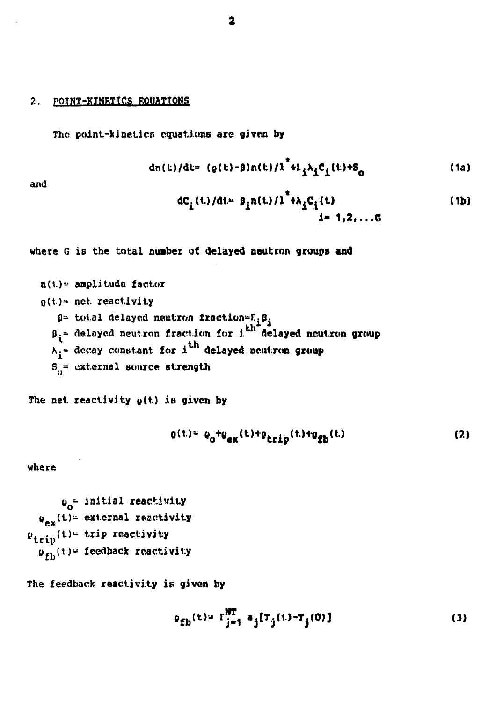### 2. POINT-KINETICS EQUATIONS

**The point-kinetics equations are given by**

$$
dn(t)/dt = (q(t)-\beta)n(t)/\lambda^{*} + L_{\hat{\lambda}}\lambda_{\hat{\lambda}}C_{\hat{\lambda}}(t) + S_{0}
$$
 (1a)

and

$$
dC_{i}(t)/dt = \beta_{i}n(t)/1^{*} + \lambda_{i}C_{i}(t)
$$
\n(1b)

where G is the total number of delayed neutron groups **and**

n(1)= amplitude factor  
\n
$$
Q(t)=
$$
 net. reactivity  
\n $\beta =$  total delayed neutron fraction= $F_i \beta_j$   
\n $\beta_i =$  delayed neutron fraction for i<sup>th</sup> delayed neutron group  
\n $\lambda_i =$  decay constant for i<sup>th</sup> delayed neutron group  
\n $S_0 =$  external source strength

The net reactivity  $g(t)$  is given by

$$
Q(t) = Q_0 + Q_{ex}(t) + Q_{trip}(t) + Q_{fb}(t)
$$
 (2)

where

$$
\begin{aligned}\n\mathbf{u}_0^{\perp} & = \text{initial reactivity} \\
\mathbf{u}_{\text{ex}}(t) & = \text{external reactivity} \\
\mathbf{v}_{\text{trip}}(t) & = \text{trip reactivity} \\
\mathbf{u}_{\text{fb}}(t) & = \text{feedback reactivity}\n\end{aligned}
$$

The feedback reactivity is given by

$$
\rho_{\text{fb}}(t) = \Gamma_{j=1}^{\text{NT}} \ a_j [\tau_j(t) - \tau_j(0)] \tag{3}
$$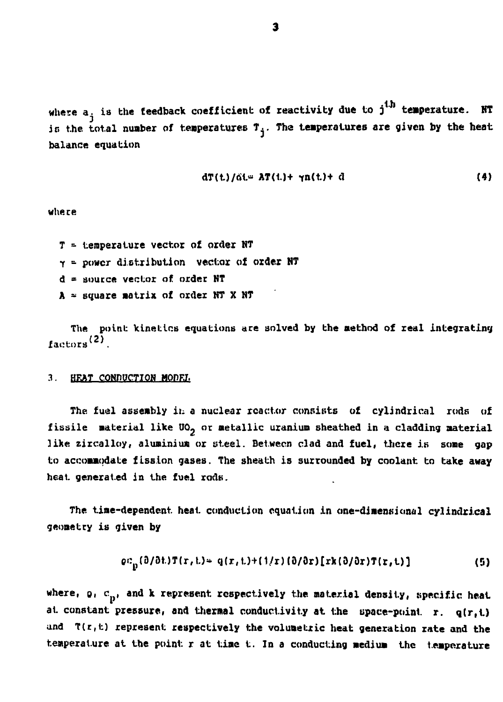**where a. is the feedback coefficient of reactivity due to j<sup>i</sup> <sup>h</sup> temperature. HT** is the total number of temperatures  $T_{\frac{1}{4}}$ . The temperatures are given by the heat **balance equation**

$$
dT(t)/\tilde{a}t = AT(t) + \gamma n(t) + d \qquad (4)
$$

**where**

- **T temperature vector of order NT**
- **r power distribution vector of order HT**
- **d = source vector of order NT**
- **A square matrix of order NT X NT**

The point kinetics equations are solved **by the method of zeal integrating factors**<sup>(2)</sup>

#### **2. HKAT CONDUCTION MODEI.**

**The fuel assembly in a nuclear reactor consists of cylindrical rods of** fissile material like UO<sub>2</sub> or metallic uranium sheathed in a cladding material **like zircalloy, aluminium or steel. Between clad and fuel, there is some gap to accommodate fission gases. The sheath is surrounded by coolant to take away heat generated in the fuel rods.**

**The time-dependent heat conduction equation in one-dimensional cylindrical geometry is given by**

$$
\varrho c_{n}(0/0t)T(r,t) = q(r,t) + (1/r)(0/0r)[rk(0/0r)T(r,t)] \qquad (5)
$$

where,  $\rho_i$  c<sub>p</sub>, and k represent respectively the material density, specific heat **at constant pressure, and thermal conductivity at the space-point r. q(r,t) and T(r,t) represent respectively the volumetric heat generation zate and the temperature at the point r at time t. In a conducting medium the temperature**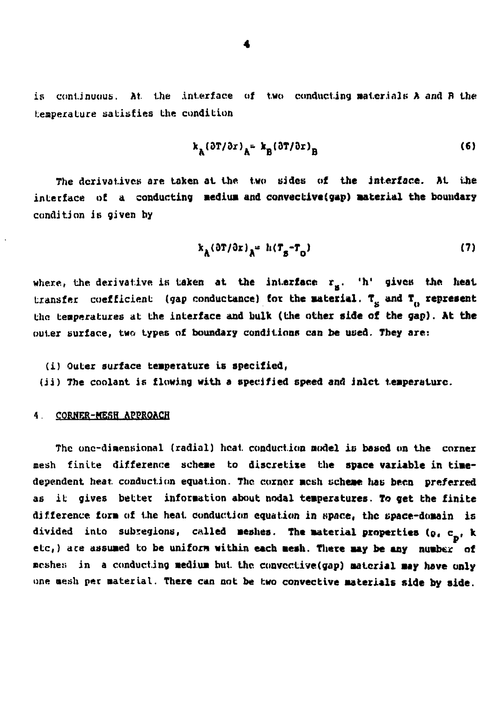is continuous. At the interface of two conducting materials  $A$  and  $B$  the tenperature satisfies the condition

$$
k_{\mathbf{A}}(\partial \mathbf{T}/\partial x)_{\mathbf{A}^{\mathbf{B}}} = k_{\mathbf{B}}(\partial \mathbf{T}/\partial x)_{\mathbf{B}} \tag{6}
$$

**The derivatives are taken at the two sides of the interface. At the** interface of a conducting medium and convective(gap) material the boundary **condition is given by**

$$
k_A(\partial T/\partial x)_A = h(T_B - T_0) \tag{7}
$$

where, the derivative is taken at the interface  $r_g$ . 'h' gives the heat transfer coefficient (gap conductance) for the material. T<sub>e</sub> and T<sub>n</sub> represent **the temperatures at the interface and bulk (the other side of the gap). At the** outer surface, two types of boundary conditions can be used. They are:

#### **(i) Outer surface temperature is specified,**

**(ii) The coolant is flowing with a specified speed and inlet temperature.**

#### **4. CORHER-MESH APPROACH**

**The onc-dinent;ional (radial) heat conduction model is based on the corner mesh finite difference scheme to discretixe the space variable in timedependent heat conduction equation. The corner mesh scheme lias been preferred as it gives better information about nodal temperatures. To get the finite** difference form of the heat conduction equation in space, the space-domain is divided into subregions, called meshes. The material properties (o, c<sub>n'</sub> k etc,) are assumed to be uniform within each mesh. There may be any number of **ncshe;; in a conducting medium but. the convcctive(gap) material may have only one aesh pec material. There can not be two convective materials side by side.**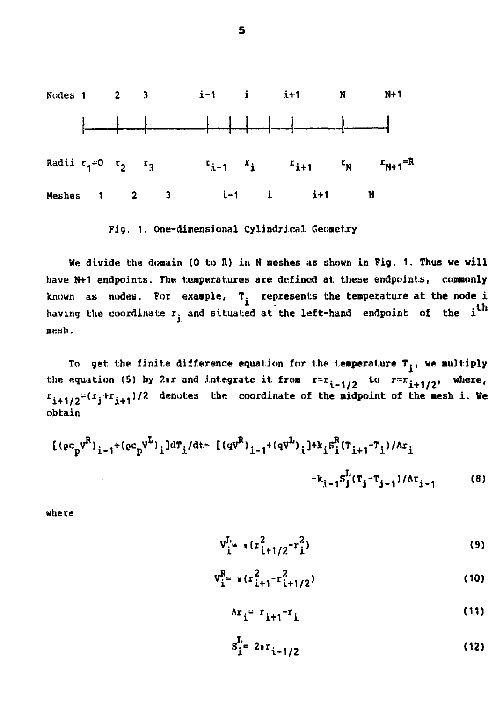

**Fig. 1. One-dimensional Cylindrical Geometry**

**We divide the domain (0 to R) in H meshes as shown in Fig. 1. Thus we will** have N+1 endpoints. The temperatures are defined at these endpoints, commonly known as nodes. For example, T<sub>i</sub> represents the temperature at the node i having the coordinate  $r_{j}$  and situated at the left-hand endpoint of the i<sup>th</sup> nesh.

**To get the finite difference equation for the temperature T., we multiply** the equation (5) by  $2\pi$  and integrate it from  $r=r_{i-1/2}$  to  $r=r_{i+1/2}$ , where  $x_{i+1/2} = (x_i + x_{i+1})/2$  denotes the coordinate of the midpoint of the mesh i. We **obtain**

$$
[(ec_{p}v^{R})_{i-1}+(ec_{p}v^{L})_{i}]d\tau_{i}/dt=[(qv^{R})_{i-1}+(qv^{L})_{i}] + k_{i}s_{i}^{R}(\tau_{i+1}-\tau_{i})/\Delta r_{i}
$$
  

$$
-k_{i-1}s_{j}^{L}(\tau_{j}-\tau_{j-1})/\Delta r_{j-1}
$$
 (8)

**where**

$$
v_{i}^{J_{i_{\pm}}} * (r_{i+1/2}^{2} - r_{i}^{2})
$$
 (9)

$$
V_{i}^{R} = \pi (r_{i+1}^{2} - r_{i+1/2}^{2})
$$
 (10)

$$
\Delta \mathbf{r_i} = \mathbf{r_{i+1}} - \mathbf{r_i} \tag{11}
$$

$$
S_{i}^{I_{\pm}} 2^{a}r_{i-1/2} \tag{12}
$$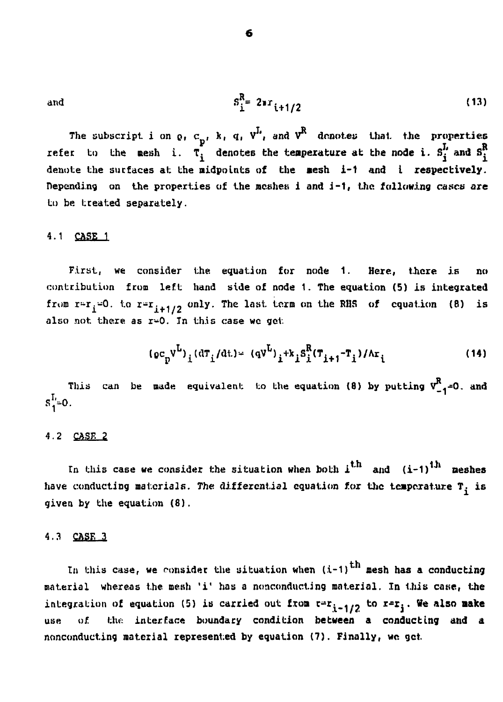and 
$$
S_1^R = 2 \pi i + 1/2
$$
 (13)

The subscript i on  $\rho$ ,  $c_p$ ,  $k$ ,  $q$ ,  $V^L$ , and  $V^R$  denotes that the properties **refer to the mesh i.**  $\tau_i^{\prime}$  denotes the temperature at the node i.  $S_i^L$  and  $S_i^R$ denote the surfaces at the midpoints of the mesh i-1 and i respectively. **Depending on the properties of the meshes i and i-1, the following cases ate to be treated separately.**

#### **4.1 CASE 1**

**First, we consider the equation for node 1. Here, there is no contribution from left hand side of node 1. The equation (5) is integrated from r-r.-O. to r-<sup>r</sup>-+i»2 onlY- "The ^as\*- \*-crin «n the RHS of equation (8) is also not there as r-0. In this case we get**

$$
(\rho c_p V^L)_{i} (dT_i/dt) = (qV^L)_{i} + k_i S_i^R (T_{i+1} - T_i) / \Lambda r_i
$$
 (14)

This can be made equivalent to the equation  $(8)$  by putting  $V_{-1}^R$ =0. and  $S_1^L = 0$ .

#### **4.2 CASK 2**

In this case we consider the situation when both  $1^{th}$  and  $(i-1)^{th}$  meshes have conducting materials. The differential equation for the temperature T<sub>i</sub> is **given by the equation (8).**

#### **4.3 CASE 3**

In this case, we consider the situation when  $(i-1)$ <sup>th</sup> mesh has a conducting **material whereas the mesh 'i' has a nonconducting material. Xn this case, the** integration of equation (5) is carried out from  $r = r_{i-1/2}$  to  $r = r_i$ . We also may **use of the interface boundary condition between a conducting and a nonconducting material represented by equation (7). Finally, we get**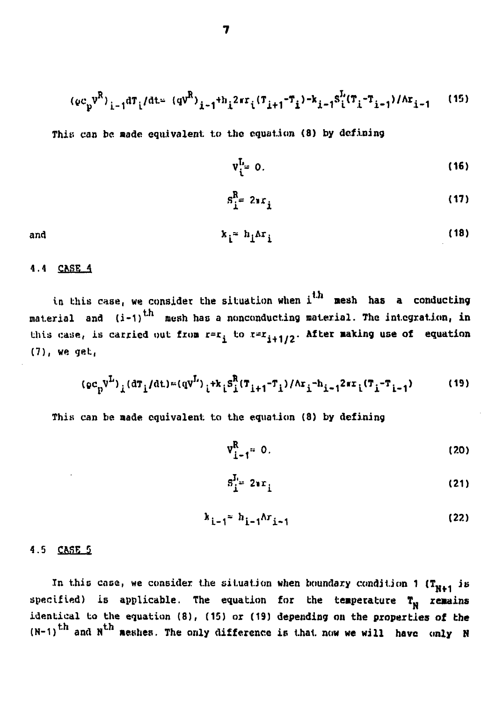$$
(\varrho c_p v^R)_{i-1} d\tau_i/dt = (qv^R)_{i-1} + h_i 2\pi r_i (T_{i+1} - T_i) - k_{i-1} S_i^L (T_i - T_{i-1}) / \Delta r_{i-1}
$$
 (15)

This can be made equivalent to the equation (8) by defining

$$
\mathbf{v}_{i}^{\mathbf{L}_{\mathbf{m}}}\mathbf{0}.\tag{16}
$$

$$
s_i^R = 2\pi r_i \tag{17}
$$

and 
$$
k_i = h_i \Delta r_i
$$
 (18)

#### **4.4 CKSE 4**

**in bhis case, we consider the situation when i <sup>1</sup> aesh has a conducting material and (i-1) mesh has a nonconducting material. The integration, in** this case, is carried out from  $r = r$ ; to  $r = r$ <sub>i+1/2</sub>. After making use of equation **(7), we get;,**

$$
(\varphi c_p^{\nu^L})_i (\mathrm{d}\tau_i/\mathrm{d}t) = (\mathrm{q}v^L)_{i} + k_i S_i^R (\tau_{i+1} - \tau_i)/\mathrm{d}\tau_i - h_{i-1} 2\pi\tau_i (\tau_i - \tau_{i-1})
$$
 (19)

**This can be aade equivalent to the equation (8) by defining**

$$
v_{i-1}^R = 0. \tag{20}
$$

$$
\mathbf{s}_{\mathbf{i}}^{\mathbf{L}} = 2\mathbf{r}_{\mathbf{i}} \tag{21}
$$

$$
k_{i-1} = h_{i-1} \Lambda r_{i-1}
$$
 (22)

#### **4.5 CASE 5**

**In this cose, we consider the situation when boundary condition 1 (Tu.4 its** specified) is applicable. The equation for the temperature  $T_N$  remains identical to the equation (8), (15) or (19) depending on the properties of the  $N-1$ <sup>th</sup> and  $N$ <sup>th</sup> maybes The only difference is that now we will be a universe **(N-1) ' and N' meshes. The only difference is that now we will have only N**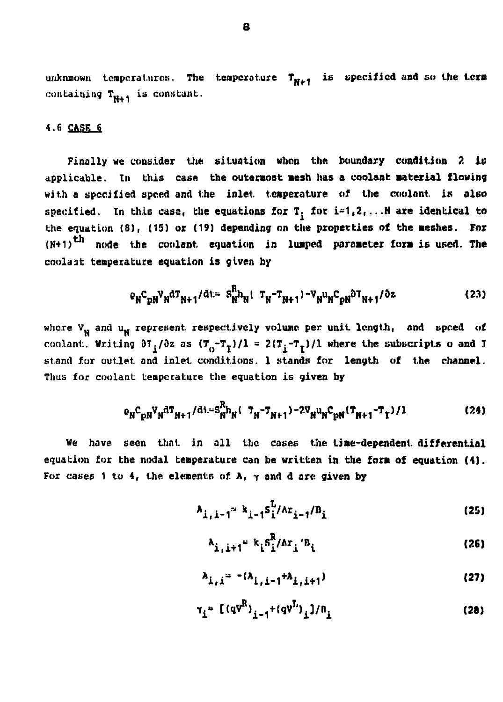unknmown temperatures. The temperature  $T_{N+1}$  is specified and so the term **containing Tu.4 is constant.**

### **4.6 CASK 6**

**Finally we consider the situation when the boundary condition 2 in applicable. In this case the outermost aesh has a coolant material flowing with a specified speed and the inlet temperature of the coolant, is also** specified. In this case, the equations for  $T$ , for  $i=1,2,\ldots N$  are identical to the equation (8), (15) or (19) depending on the properties of the meshes. For **(N+1) node the coolant equation in limped parameter fora is used. The coola.it temperature equation is given by**

$$
\rho_N C_{pN} V_N^{\dagger} T_{N+1} / \dagger L = S_N^R h_N (T_N - T_{N+1}) - V_N u_N C_{pN} \partial T_{N+1} / \partial z
$$
 (23)

**where Vu and uu represent, respectively volume per unit length, and speed of** coolant. Writing  $\partial T_j/\partial z$  as  $(T^T_{0}-T^T_{1})/1 = 2(T^T_{1}-T^T_{1})/1$  where the subscripts o and I **stand for outlet and inlet conditions. 1 stands for length of the channel. Thus for coolant temperature the equation is given by**

$$
P_{N}C_{pN}V_{N}^{dT}{}_{N+1}/dt = S_{N}^{R}h_{N}(\tau_{N} - \tau_{N+1}) - 2V_{N}u_{N}C_{pN}(\tau_{N+1} - \tau_{1})/1
$$
 (24)

**We have seen that in all the cases the time-dependent differential equation for the nodal temperature can be written in the fora of equation (1). For cases 1 to 4, the elements of A, y and d arc given by**

$$
A_{i,j-1} = k_{j-1} S_i^{L} / \Lambda r_{j-1} / B_i
$$
 (25)

$$
A_{i,i+1} = k_i S_i^R / \Delta r_i' B_i
$$
 (26)

$$
\lambda_{\hat{1},\hat{1}} = - (\lambda_{\hat{1},\hat{1}} - 1 + \lambda_{\hat{1},\hat{1}} + 1) \tag{27}
$$

 $\tau_i = [(qV^R)_{i=1} + (qV^I)^i, 1/n]$  (28)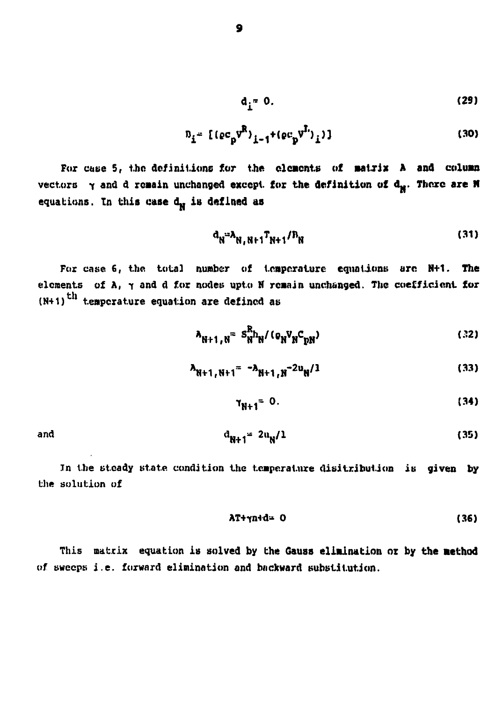$$
\mathbf{d}_{\mathbf{i}}^{\dagger} = \mathbf{0}.\tag{29}
$$

$$
n_{i} = [(ec_{p}v^{R})_{i-1} + (ec_{p}v^{I})_{i})]
$$
 (30)

**For case 5, the definitions fur the elements of matrix A and column** vectors  $\gamma$  and d remain unchanged except, for the definition of d<sub>x</sub>. There are N equations. In this case d<sub>w</sub> is defined as

$$
a_N = \lambda_{N,N+1} T_{N+1} / D_N
$$
 (31)

**For case 6, the total number of temperature equations arc N+1. The elements of A, t and d for nodes upto H remain unchanged. The coefficient for (N+1) <sup>l</sup> temperature equation are defined as**

$$
\lambda_{N+1,N} = S_{N}^{R} h_N / (o_N v_N^{\dagger} c_{pN})
$$
 (32)

$$
\lambda_{N+1, N+1} = -\lambda_{N+1, N} - 2\nu_N / 1
$$
 (33)

$$
\gamma_{N+1} = 0. \tag{34}
$$

and 
$$
a_{N+1} = 2u_N/1
$$
 (35)

**Jn the steady state condition the temperature distribution is given by the solution of**

$$
\lambda T + \gamma n + d = 0 \tag{36}
$$

**This matrix equation is solved by the Gauss elimination or by the method of sweeps i.e. forward elimination and backward substitution.**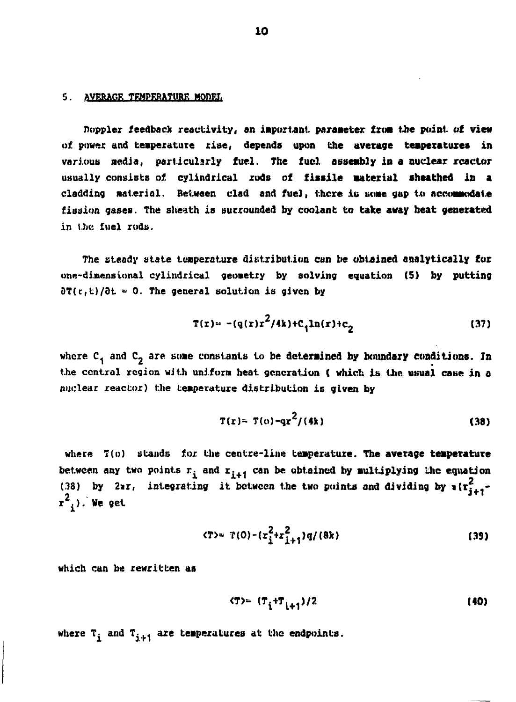### **5. AVERAGE TEMPERATURE MODEL**

**floppier feedback reactivity, an important parameter turn the point of view of power and temperature rise, depends upon the average teapexatuxes in various media, particularly fuel. The fuel assembly in a nuclear reactor usually consists of cylindrical rods of fissile material sheathed in a** cladding material. Between clad and fuel, there is some gap to accommodate **fission gases. The sheath is surrounded by coolant to bake away beat generated in the fuel rods.**

**The steady state temperature distribution can be obtained astalytically for one-dimensional cylindrical geometry by solving equation (5) by putting**  $\partial T(r, t)/\partial t = 0$ . The general solution is given by

$$
T(r) = -(q(r)r^2/4k) + C_1 \ln(r) + C_2
$$
 (37)

**where C, and C2 are some constants to be determined by boundary conditions. In** the central region with uniform heat generation ( which is the usual case in a **nuclear reactor) the temperature distribution is given by**

$$
T(r) = T(0) - qr^2/(4k)
$$
 (38)

**where 7(o} stands for the centre-line temperature. The average temperature** between any two points  $r_i$  and  $r_{i+1}$  can be obtained by multiplying the equation **(38) by 2ir, integrating it between the two points and dividing by «(r?. i l <sup>k</sup>). We get**

$$
\langle T \rangle = T(0) - \left( r_{\frac{1}{2}}^2 + r_{\frac{1}{2}+1}^2 \right) q / (8k) \tag{39}
$$

**which can be rewritten as**

$$
(T) = (T_i + T_{i+1})/2
$$
 (40)

where  $T_i$  and  $T_{i+1}$  are temperatures at the endpoints.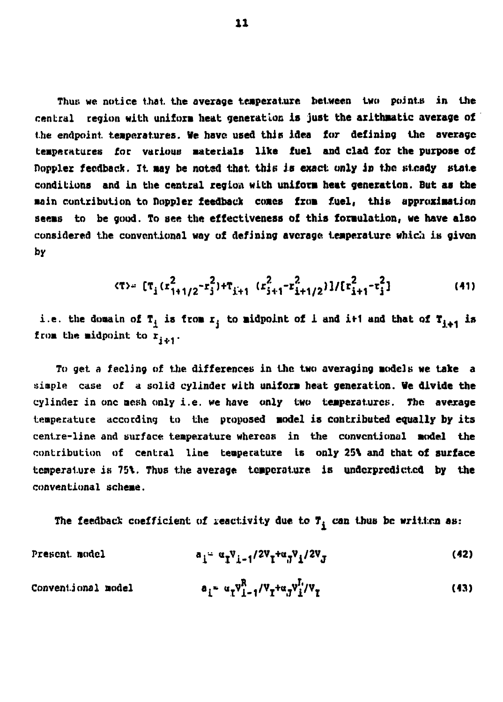**Thus we notice thai, the average temperature between two points in the central region with uniform heat generation is just the arlthaatic average of the endpoint teaperatures. We have used thits idea fur defining the average** temperatures for various materials like fuel and clad for the purpose of **noppler feedback. It. aay be notsd that thin is exact only in the steady state conditions and in the central region with unifora heat generation. But as the Bain contribution to floppier feedback coacs fxoa fuel, this approxiaation seeas to be good. To see the effectiveness of this foraulation, we have also** considered the conventional way of defining average temperature which is given **by**

$$
\langle \tau \rangle = \left[ \tau_{i} (r_{1+1/2}^{2} - r_{j}^{2}) + \tau_{i+1} (r_{i+1}^{2} - r_{i+1/2}^{2}) \right] / \left[ r_{i+1}^{2} - r_{j}^{2} \right] \tag{41}
$$

i.e. the domain of  $T_i$  is from  $r_i$  to midpoint of i and it1 and that of  $T_{i+1}$  is from the midpoint to  $r_{i+1}$ .

To get a feeling of the differences in the two averaging models we take a **simple case of a solid cylinder with unifoxa heat generation. Ve divide the cylinder in one aesh only i.e. we have only two teaperaturcs. The average temperature according to the proposed aodel is contributed equally by its centre-line, and surface teaperature whereas in the conventional aodel the contribution of central line teaperature Is only 25\ and that of surface temperature is 75\. Thus the average teaperature. is undcrprcdictcd by the conventiona1 scheme.**

The feedback coefficient of reactivity due to  $T_{\frac{1}{2}}$  can thus be written as:

Present model 
$$
a_i = \alpha_i V_{i-1}/2V_i + \alpha_i V_i/2V_J
$$
 (42)

 $\texttt{Convent}$ **jonal** model  $(43)$ **<sup>V</sup>i-i'<sup>V</sup>I +fil.7<sup>V</sup>i'<sup>V</sup>I**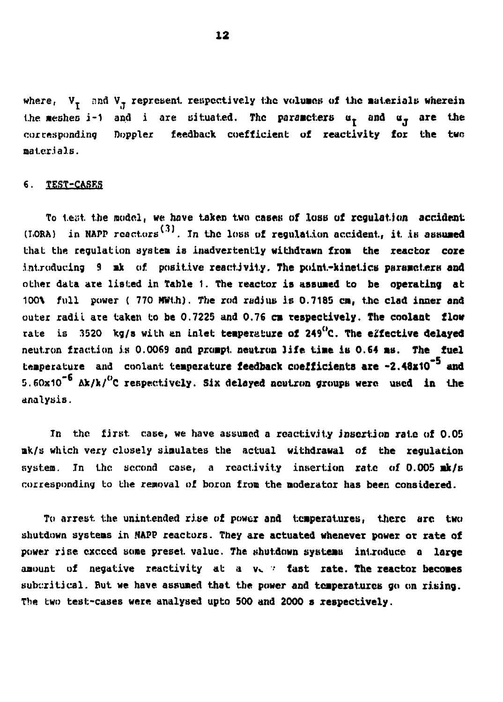where,  $V_{\tau}$  and  $V_{\tau}$  represent respectively the volumes of the materials wherein the meshes i-1 and i are situated. The parameters  $u_{\tau}$  and  $u_{\tau}$  are the **corresponding floppier feedback coefficient: of reactivity fox the twe aat.cr.ials.**

#### **6. TEST-CASES**

**To test the model, we have taken two cases of lose of regulation accident** (LORA) in NAPP reactors<sup>(3)</sup>. In the loss of regulation accident, it is assumed **thai the regulation ayslea is inadvertently withdrawn from the reactor coze** introducing 9 ak of positive reactivity. The point-kinetics parameters and **other data are listed in Table 1. The reactor is assuaed to be operating at 100\ full power ( 770 MWt.h). The rod radius is 0.718S en, the clad inner and outer radii ate taken to be 0.7225 and 0.76 ca respectively. The coolant flow rate is 3520 kg/a with en inlet teaperafcure of 249°C. The effective delayed neutron fraction is 0.0069 and proapt neutron life tiae is 0.64 as. The fuel teaperature and coolant temperature feedback coefficients ace -2.48x10" and 5.60x10 Ak/k/°C respectively. Six delayed neutron groups were used in the analysis.**

**Tn the first case, we have assumed a reactivity insertion rate of 0.05 nk/s which very closely simulates the actual withdrawal of the regulation system. In the second case, a reactivity insertion rate of 0.005 ak/s corresponding to the removal of boron from the moderator has been considered.**

**To arrest the unintended rise of power and teaperatures, there arc two shutdown systems in NAPP reactors. They are actuated whenever power or rate of power rise exceed some preset value. The shutdown systems introduce a large** amount of negative reactivity at a v. <sup>\*</sup> fast rate. The reactor becomes **sub::ritical. But we have assumed that the power and teaperaturcs go on rising. The two test-cases were analysed upto 500 and 2000 s respectively.**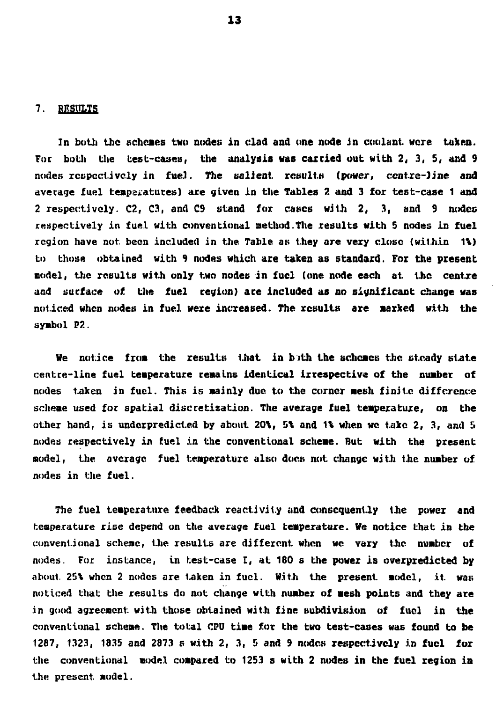#### **7. RESULTS**

**In both the schemes two nodes in clad and one node in coolant, were taken. Foe both the test-cases, the analysis was caxcied out with 2, 3, 5, and 9 nodes respectively in fueJ. The salient results (power, centre-line and average fuel temperatures) are given in the Tables 2 and 3 for test-case 1 and 2 respectively. C2, C3, and C9 stand for cases with 2, 3, and 9 nodec respectively in fuel with conventional method.The results with 5 nodes in fuel** region have not been included in the Table as they are very close (within 1%) **to those obtained with 9 nodes which are taken as standard. For the present nodel, the results with only two nodes in fuel (one node each at the centre and surface of the fuel region) are included as no significant change was noticed when nodes in fuel were increased. The results are aarked with the symbol P2.**

**He notice from the results that in bJth the schcacs the steady state centre-line fuel temperature remains identical irrespective of the number of nodes taken in fuel. This is aainly due to the corner aesh finite difference scheme used for spatial discretization. The average fuel teaperature, on the other hand, is underpredicted by about 20%, 5\ and 1\ when we take 2, 3, and 5 nodes respectively in fuel in the conventional scheae. But with the present model, the average fuel teaperature also does not change with the number of nodes in the fuel.**

**The fuel teaperature feedback reactivity and consequently ihe power and temperature rise depend on the average fuel temperature. We notice that in the conventional scheme, the results are different when we vary the number of nodes. For instance, in test-case I, at 180 s the power is overpredicted by about 25\ when 2 nodes are taken in fuel. With the present aodel, it was noticed that the results do not change with number of aesh points and they are .in good agreement with those obtained with fine subdivision of fuel in the conventional scheae. The total CPU time for the two test-cases was found to be 1287, 1323, 1835 and 2873 s with 2, 3, 5 and 9 nodes respectively in fuel for the conventional model coapared to 1253 s with 2 nodes in the fuel region in the present, model.**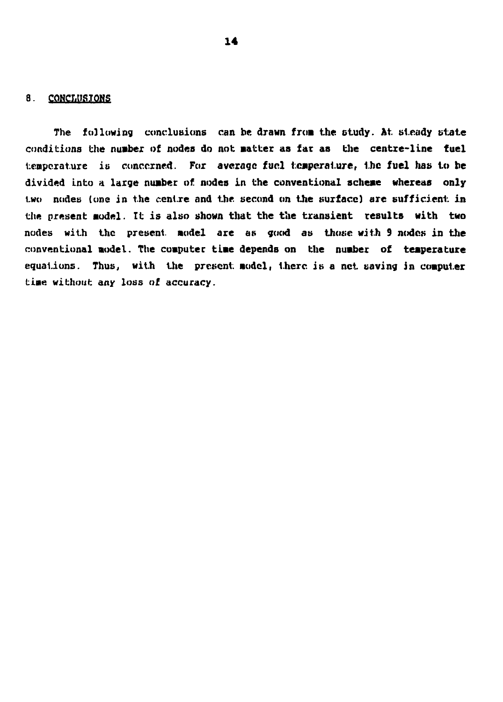#### **8. CONCr.IISTONS**

**The following conclusions can be drawn from the ctudy. At. steady state** conditions the number of nodes do not matter as far as the centre-line fuel temperature is concerned. For average fuel temperature, the fuel has to be **divided into % large number of nodes in the conventional scheme whereas only two nodes (one in the centre and the second on the surface) are sufficient in the present aodel. It is also shown that the the transient results with two nodes with the present Model are as good as those with 9 nodes in the conventional aodel. The computer time depends on the nuaber of teaperature equations. Thus, with the present aodcl, there is a net saving in coaputer tiae without any loss of accuracy.**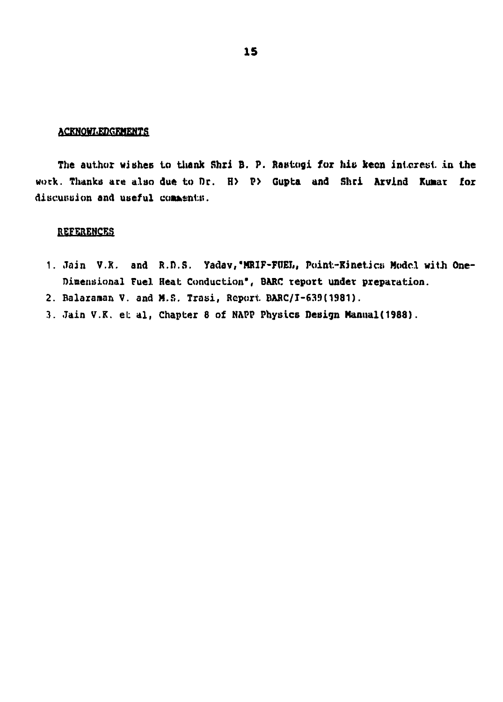#### **ACKNOWLEDGEMENTS**

The author wishes to thank Shri B. P. Rastogi for his keen interest in the **work. Thanks are also due to Dr. H> P> Gupta and Shci Arvind Kumar for** discussion and useful comments.

### **REFERENCES**

- 1. Jain V.K. and R.D.S. Yadav, MRIF-FUEL, Point-Kinetics Model with One-**Dimensional Fuel Heat Conduction", BARC report under preparation.**
- **2. Balaranan V. and M.S. Trasi, Report BARC/I-639(1981).**
- **3. Jain V.K. el: al, Chapter 8 of NAPP Physics Design Manual(1988).**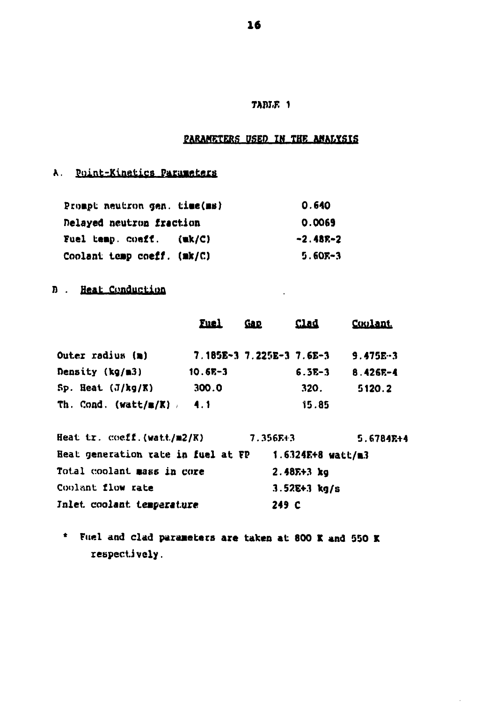# **TAM.F. 1**

# **PARAMETERS DSED IN THE ANALYSIS**

# **A.** Point-Kinetics Parameters

| Prompt neutron gen. time(ms)    | 0.640      |
|---------------------------------|------------|
| <b>Delayed neutron fraction</b> | 0.0069     |
| <b>Fuel temp. coeff. (wk/C)</b> | $-2.48E-2$ |
| Coolant temp coeff. (mk/C)      | $5.60E-3$  |

# **D** . Heat Conduction

|                                   | <b>Fuel</b> | Ga p                     | <u>Clad</u> | <b>Coolant</b> |
|-----------------------------------|-------------|--------------------------|-------------|----------------|
| Outer radius (m)                  |             | $7.185E-37.225E-37.6E-3$ |             | $9.475E-3$     |
| Density (kg/m3)                   | $10.6E-3$   |                          | $6.5E-3$    | $8.426E - 4$   |
| $Sp.$ Heat $(J/kg/K)$             | 300.0       |                          | 320.        | 5120.2         |
| Th. Cond. (watt/ $\mathbb{E}/K$ ) | -4.1        |                          | 15.85       |                |

| Heat tr. coeff.(watt/m2/K)         | $7.356E + 3$      | $5.6784E + 4$ |  |  |
|------------------------------------|-------------------|---------------|--|--|
| Heat generation rate in fuel at FP | 1.6324E+8 watt/m3 |               |  |  |
| Total coolant mass in core         | $2.48E+3$ kg      |               |  |  |
| Coolant flow rate                  | $3.52E + 3 kg/s$  |               |  |  |
| Inlet coolant temperature          | 249 C             |               |  |  |

**\* Fuel and clad paraaeters are taken at 800 I and 550 K respectively.**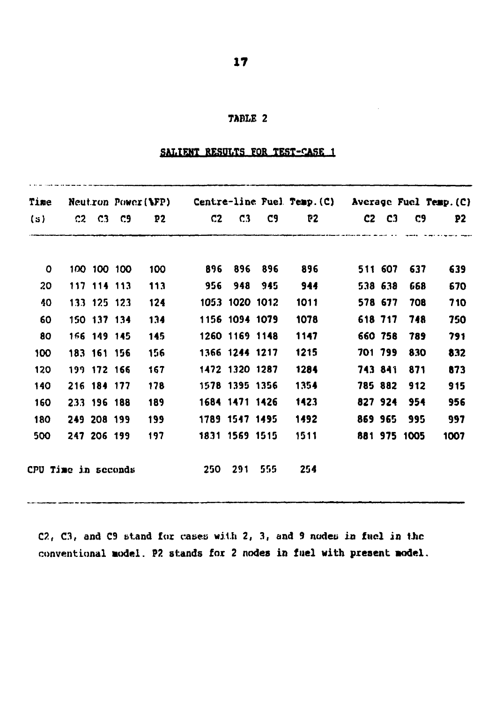### **TABLE 2**

# **SALIENT RESULTS FOR TEST-CASE 1**

| Time                |          |             | Neutron Power(\FP) |     | Centre-line Fuel Temp. $(C)$ Average Fuel Temp. $(C)$ |                |         |      |                                              |               |              |      |
|---------------------|----------|-------------|--------------------|-----|-------------------------------------------------------|----------------|---------|------|----------------------------------------------|---------------|--------------|------|
| (s)                 | C2 C3 C9 |             |                    | P2  | $C2 \t C.3$                                           |                | C9.     | P2   | <u>sa kamang sababat pang sang sang pang</u> | $C2 \quad C3$ | C9           | P2   |
| 0                   |          | 100 100 100 |                    | 100 | 896                                                   |                | 896 896 | 896  |                                              | 511 607       | 637          | 639  |
| 20                  |          | 117 114 113 |                    | 113 | 956                                                   | 948            | 945     | 944  |                                              | 538 638       | 668          | 670  |
| 40                  |          | 133 125 123 |                    | 124 |                                                       | 1053 1020 1012 |         | 1011 |                                              | 578 677       | 708          | 710  |
| 60                  |          | 150 137 134 |                    | 134 |                                                       | 1156 1094 1079 |         | 1078 |                                              | 618 717       | 748          | 750  |
| 80                  |          | 166 149 145 |                    | 145 |                                                       | 1260 1169 1148 |         | 1147 |                                              | 660 758       | 789          | 791  |
| 100                 |          | 183 161 156 |                    | 156 |                                                       | 1366 1244 1217 |         | 1215 |                                              | 701 799       | 830          | 832  |
| 120                 |          | 199 172 166 |                    | 167 |                                                       | 1472 1320 1287 |         | 1284 |                                              | 743 841       | 871          | 873  |
| 140                 |          | 216 184 177 |                    | 178 |                                                       | 1578 1395 1356 |         | 1354 |                                              | 785 882       | 912          | 915  |
| 160                 |          | 233 196 188 |                    | 189 |                                                       | 1684 1471 1426 |         | 1423 |                                              |               | 827 924 954  | 956  |
| 180                 |          | 249 208 199 |                    | 199 |                                                       | 1789 1547 1495 |         | 1492 |                                              | 869 965       | 995          | 997  |
| 500                 |          | 247 206 199 |                    | 197 |                                                       | 1831 1569 1515 |         | 1511 |                                              |               | 881 975 1005 | 1007 |
| CPU Time in seconds |          |             |                    |     | 250                                                   | 291            | 555     | 254  |                                              |               |              |      |

**C2, C3, and C9 stand for cases with 2, 3, and 9 nodeti in fuel in Uic conventional aodel. P2 stands for 2 nodes in fuel with present aodel.**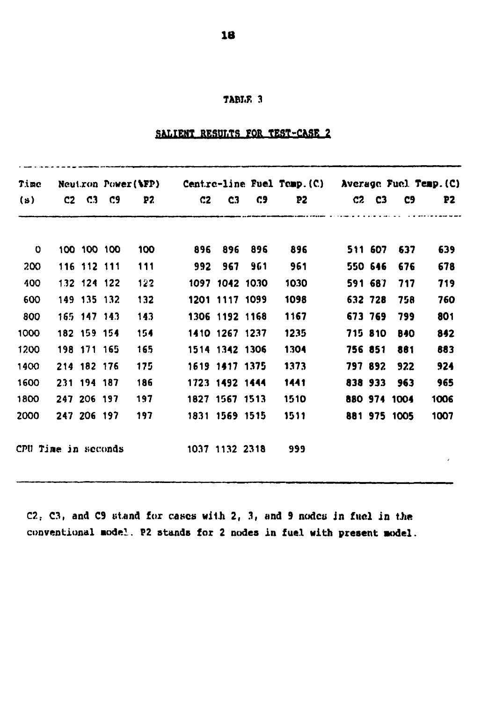### **TABLE 3**

# SALIENT RESULTS FOR TEST-CASE 2

| Time                |  |                  |  |     |                |                |                |       | Neutron Power(MFP) Centre-line Fuel Temp. (C) Average Fuel Temp. (C) |               |              |      |
|---------------------|--|------------------|--|-----|----------------|----------------|----------------|-------|----------------------------------------------------------------------|---------------|--------------|------|
| $(\mathbf{s})$      |  | $C2 \t C3 \t C9$ |  | P2. | C2             | C <sub>3</sub> | C9             | P2    |                                                                      | $C2 \quad C3$ | C9           | P2   |
|                     |  |                  |  |     |                |                |                |       |                                                                      |               |              |      |
| $\mathbf 0$         |  | 100 100 100      |  | 100 |                | 896 896        | 896            | 896 — |                                                                      | 511 607       | 637          | 639  |
| 200                 |  | 116 112 111      |  | 111 | 992            | 967            | 961            | 961   |                                                                      | 550 646       | 676          | 678  |
| 400                 |  | 132 124 122      |  | 122 |                |                | 1097 1042 1030 | 1030  |                                                                      | 591 687       | 717          | 719  |
| 600                 |  | 149 135 132      |  | 132 |                | 1201 1117 1099 |                | 1098  |                                                                      | 632 728       | 758          | 760  |
| 800                 |  | 165 147 143      |  | 143 |                | 1306 1192 1168 |                | 1167  |                                                                      | 673 769       | 799          | 801  |
| 1000                |  | 182 159 154      |  | 154 |                | 1410 1267 1237 |                | 1235  |                                                                      | 715 810       | 840          | 842  |
| 1200                |  | 198 171 165      |  | 165 |                | 1514 1342 1306 |                | 1304  |                                                                      | 756 851       | 861          | 683  |
| 1400                |  | 214 182 176      |  | 175 |                | 1619 1417 1375 |                | 1373  |                                                                      | 797 892       | 922          | 924  |
| 1600                |  | 231 194 187      |  | 186 |                | 1723 1492 1444 |                | 1441  |                                                                      | 838 933       | 963          | 965  |
| 1800                |  | 247 206 197      |  | 197 |                | 1827 1567 1513 |                | 1510  |                                                                      |               | 880 974 1004 | 1006 |
| 2000                |  | 247 206 197      |  | 197 |                | 1831 1569 1515 |                | 1511  |                                                                      |               | 881 975 1005 | 1007 |
| CPU Time in seconds |  |                  |  |     | 1037 1132 2318 |                |                | 999   |                                                                      |               |              |      |

C2. C3, and C9 stand for cases with 2, 3, and 9 nodes in fuel in the **conventional Model. P2 stands for 2 nodes in fuel with present aodel.**